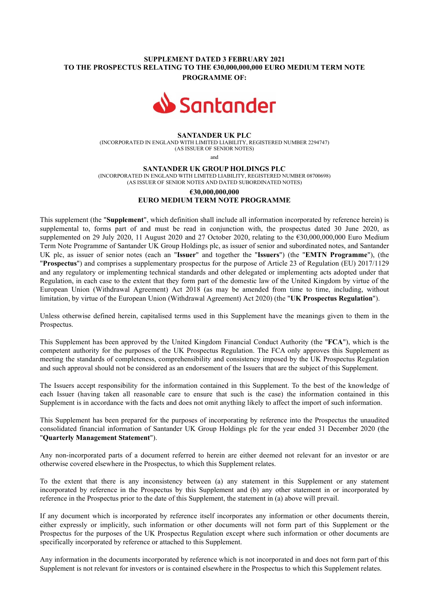## SUPPLEMENT DATED 3 FEBRUARY 2021 TO THE PROSPECTUS RELATING TO THE €30,000,000,000 EURO MEDIUM TERM NOTE PROGRAMME OF:



#### SANTANDER UK PLC

(INCORPORATED IN ENGLAND WITH LIMITED LIABILITY, REGISTERED NUMBER 2294747) (AS ISSUER OF SENIOR NOTES)

and

SANTANDER UK GROUP HOLDINGS PLC

(INCORPORATED IN ENGLAND WITH LIMITED LIABILITY, REGISTERED NUMBER 08700698) (AS ISSUER OF SENIOR NOTES AND DATED SUBORDINATED NOTES)

# €30,000,000,000 EURO MEDIUM TERM NOTE PROGRAMME

This supplement (the "Supplement", which definition shall include all information incorporated by reference herein) is supplemental to, forms part of and must be read in conjunction with, the prospectus dated 30 June 2020, as supplemented on 29 July 2020, 11 August 2020 and 27 October 2020, relating to the €30,000,000,000 Euro Medium Term Note Programme of Santander UK Group Holdings plc, as issuer of senior and subordinated notes, and Santander UK plc, as issuer of senior notes (each an "Issuer" and together the "Issuers") (the "EMTN Programme"), (the "Prospectus") and comprises a supplementary prospectus for the purpose of Article 23 of Regulation (EU) 2017/1129 and any regulatory or implementing technical standards and other delegated or implementing acts adopted under that Regulation, in each case to the extent that they form part of the domestic law of the United Kingdom by virtue of the European Union (Withdrawal Agreement) Act 2018 (as may be amended from time to time, including, without limitation, by virtue of the European Union (Withdrawal Agreement) Act 2020) (the "UK Prospectus Regulation").

Unless otherwise defined herein, capitalised terms used in this Supplement have the meanings given to them in the Prospectus.

This Supplement has been approved by the United Kingdom Financial Conduct Authority (the "FCA"), which is the competent authority for the purposes of the UK Prospectus Regulation. The FCA only approves this Supplement as meeting the standards of completeness, comprehensibility and consistency imposed by the UK Prospectus Regulation and such approval should not be considered as an endorsement of the Issuers that are the subject of this Supplement.

The Issuers accept responsibility for the information contained in this Supplement. To the best of the knowledge of each Issuer (having taken all reasonable care to ensure that such is the case) the information contained in this Supplement is in accordance with the facts and does not omit anything likely to affect the import of such information.

This Supplement has been prepared for the purposes of incorporating by reference into the Prospectus the unaudited consolidated financial information of Santander UK Group Holdings plc for the year ended 31 December 2020 (the "Quarterly Management Statement").

Any non-incorporated parts of a document referred to herein are either deemed not relevant for an investor or are otherwise covered elsewhere in the Prospectus, to which this Supplement relates.

To the extent that there is any inconsistency between (a) any statement in this Supplement or any statement incorporated by reference in the Prospectus by this Supplement and (b) any other statement in or incorporated by reference in the Prospectus prior to the date of this Supplement, the statement in (a) above will prevail.

If any document which is incorporated by reference itself incorporates any information or other documents therein, either expressly or implicitly, such information or other documents will not form part of this Supplement or the Prospectus for the purposes of the UK Prospectus Regulation except where such information or other documents are specifically incorporated by reference or attached to this Supplement.

Any information in the documents incorporated by reference which is not incorporated in and does not form part of this Supplement is not relevant for investors or is contained elsewhere in the Prospectus to which this Supplement relates.